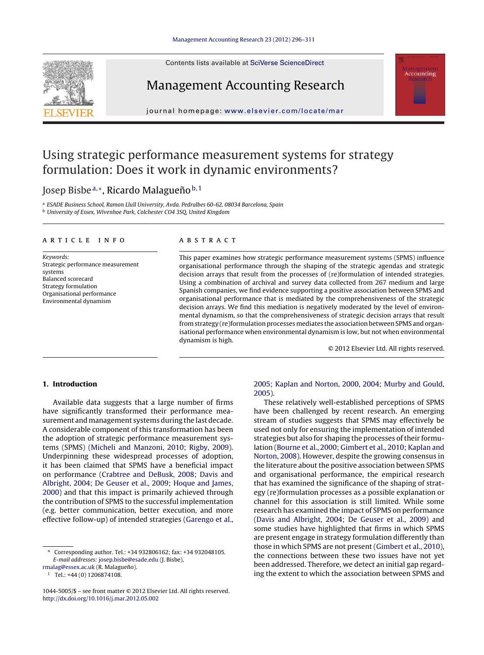Contents lists available at SciVerse [ScienceDirect](http://www.sciencedirect.com/science/journal/10445005)



## Management Accounting Research

jour nal homepage: [www.elsevier.com/locate/mar](http://www.elsevier.com/locate/mar)

## Using strategic performance measurement systems for strategy formulation: Does it work in dynamic environments?

### Josep Bisbe<sup>a,∗</sup>, Ricardo Malagueño<sup>b,1</sup>

<sup>a</sup> ESADE Business School, Ramon Llull University, Avda. Pedralbes 60-62, 08034 Barcelona, Spain <sup>b</sup> University of Essex, Wivenhoe Park, Colchester CO4 3SQ, United Kingdom

#### a r t i c l e i n f o

Keywords: Strategic performance measurement systems Balanced scorecard Strategy formulation Organisational performance Environmental dynamism

#### A B S T R A C T

This paper examines how strategic performance measurement systems (SPMS) influence organisational performance through the shaping of the strategic agendas and strategic decision arrays that result from the processes of (re)formulation of intended strategies. Using a combination of archival and survey data collected from 267 medium and large Spanish companies, we find evidence supporting a positive association between SPMS and organisational performance that is mediated by the comprehensiveness of the strategic decision arrays. We find this mediation is negatively moderated by the level of environmental dynamism, so that the comprehensiveness of strategic decision arrays that result from strategy (re)formulation processes mediates the association between SPMS and organisational performance when environmental dynamism is low, but not when environmental dynamism is high.

© 2012 Elsevier Ltd. All rights reserved.

**Accounting** 

#### **1. Introduction**

Available data suggests that a large number of firms have significantly transformed their performance measurement and management systems during the last decade. A considerable component of this transformation has been the adoption of strategic performance measurement systems (SPMS) [\(Micheli](#page--1-0) [and](#page--1-0) [Manzoni,](#page--1-0) [2010;](#page--1-0) [Rigby,](#page--1-0) [2009\).](#page--1-0) Underpinning these widespread processes of adoption, it has been claimed that SPMS have a beneficial impact on performance ([Crabtree](#page--1-0) [and](#page--1-0) [DeBusk,](#page--1-0) [2008;](#page--1-0) [Davis](#page--1-0) [and](#page--1-0) [Albright,](#page--1-0) [2004;](#page--1-0) [De](#page--1-0) [Geuser](#page--1-0) et [al.,](#page--1-0) [2009;](#page--1-0) [Hoque](#page--1-0) [and](#page--1-0) [James,](#page--1-0) [2000\)](#page--1-0) and that this impact is primarily achieved through the contribution of SPMS to the successful implementation (e.g. better communication, better execution, and more effective follow-up) of intended strategies [\(Garengo](#page--1-0) et [al.,](#page--1-0)

[rmalag@essex.ac.uk](mailto:rmalag@essex.ac.uk) (R. Malagueño).

#### [2005;](#page--1-0) [Kaplan](#page--1-0) [and](#page--1-0) [Norton,](#page--1-0) [2000,](#page--1-0) [2004;](#page--1-0) [Murby](#page--1-0) [and](#page--1-0) [Gould,](#page--1-0) [2005\).](#page--1-0)

These relatively well-established perceptions of SPMS have been challenged by recent research. An emerging stream of studies suggests that SPMS may effectively be used not only for ensuring the implementation of intended strategies but also for shaping the processes of their formulation ([Bourne](#page--1-0) et [al.,](#page--1-0) [2000;](#page--1-0) [Gimbert](#page--1-0) et [al.,](#page--1-0) [2010;](#page--1-0) [Kaplan](#page--1-0) [and](#page--1-0) [Norton,](#page--1-0) [2008\).](#page--1-0) However, despite the growing consensus in the literature about the positive association between SPMS and organisational performance, the empirical research that has examined the significance of the shaping of strategy (re)formulation processes as a possible explanation or channel for this association is still limited. While some research has examined the impact of SPMS on performance [\(Davis](#page--1-0) [and](#page--1-0) [Albright,](#page--1-0) [2004;](#page--1-0) [De](#page--1-0) [Geuser](#page--1-0) et [al.,](#page--1-0) [2009\)](#page--1-0) and some studies have highlighted that firms in which SPMS are present engage in strategy formulation differently than those in which SPMS are not present [\(Gimbert](#page--1-0) et [al.,](#page--1-0) [2010\),](#page--1-0) the connections between these two issues have not yet been addressed. Therefore, we detect an initial gap regarding the extent to which the association between SPMS and

<sup>∗</sup> Corresponding author. Tel.: +34 932806162; fax: +34 932048105. E-mail addresses: [josep.bisbe@esade.edu](mailto:josep.bisbe@esade.edu) (J. Bisbe),

<sup>1</sup> Tel.: +44 (0) 1206874108.

<sup>1044-5005/\$</sup> – see front matter © 2012 Elsevier Ltd. All rights reserved. [http://dx.doi.org/10.1016/j.mar.2012.05.002](dx.doi.org/10.1016/j.mar.2012.05.002)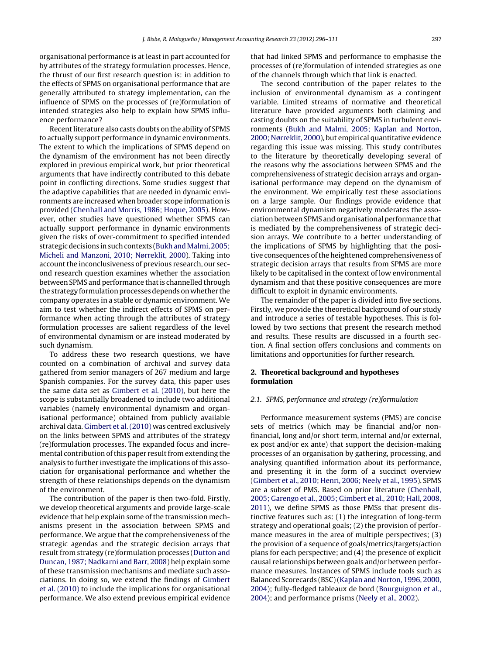organisational performance is at least in part accounted for by attributes of the strategy formulation processes. Hence, the thrust of our first research question is: in addition to the effects of SPMS on organisational performance that are generally attributed to strategy implementation, can the influence of SPMS on the processes of (re)formulation of intended strategies also help to explain how SPMS influence performance?

Recent literature also casts doubts on the ability of SPMS to actually support performance in dynamic environments. The extent to which the implications of SPMS depend on the dynamism of the environment has not been directly explored in previous empirical work, but prior theoretical arguments that have indirectly contributed to this debate point in conflicting directions. Some studies suggest that the adaptive capabilities that are needed in dynamic environments are increased when broader scope information is provided ([Chenhall](#page--1-0) [and](#page--1-0) [Morris,](#page--1-0) [1986;](#page--1-0) [Hoque,](#page--1-0) [2005\).](#page--1-0) However, other studies have questioned whether SPMS can actually support performance in dynamic environments given the risks of over-commitment to specified intended strategic decisions in such contexts (Bukh and Malmi, 2005; [Micheli](#page--1-0) [and](#page--1-0) [Manzoni,](#page--1-0) [2010;](#page--1-0) [Nørreklit,](#page--1-0) [2000\).](#page--1-0) Taking into account the inconclusiveness of previous research, our second research question examines whether the association between SPMS and performance that is channelled through the strategy formulation processes depends on whether the company operates in a stable or dynamic environment. We aim to test whether the indirect effects of SPMS on performance when acting through the attributes of strategy formulation processes are salient regardless of the level of environmental dynamism or are instead moderated by such dynamism.

To address these two research questions, we have counted on a combination of archival and survey data gathered from senior managers of 267 medium and large Spanish companies. For the survey data, this paper uses the same data set as [Gimbert](#page--1-0) et [al.](#page--1-0) [\(2010\),](#page--1-0) but here the scope is substantially broadened to include two additional variables (namely environmental dynamism and organisational performance) obtained from publicly available archival data. [Gimbert](#page--1-0) et [al.](#page--1-0) [\(2010\)](#page--1-0) was centred exclusively on the links between SPMS and attributes of the strategy (re)formulation processes. The expanded focus and incremental contribution of this paper result from extending the analysis to further investigate the implications of this association for organisational performance and whether the strength of these relationships depends on the dynamism of the environment.

The contribution of the paper is then two-fold. Firstly, we develop theoretical arguments and provide large-scale evidence that help explain some of the transmission mechanisms present in the association between SPMS and performance. We argue that the comprehensiveness of the strategic agendas and the strategic decision arrays that result from strategy (re)formulation processes ([Dutton](#page--1-0) [and](#page--1-0) [Duncan,](#page--1-0) [1987;](#page--1-0) [Nadkarni](#page--1-0) [and](#page--1-0) [Barr,](#page--1-0) [2008\)](#page--1-0) help explain some of these transmission mechanisms and mediate such associations. In doing so, we extend the findings of [Gimbert](#page--1-0) et [al.](#page--1-0) [\(2010\)](#page--1-0) to include the implications for organisational performance. We also extend previous empirical evidence that had linked SPMS and performance to emphasise the processes of (re)formulation of intended strategies as one of the channels through which that link is enacted.

The second contribution of the paper relates to the inclusion of environmental dynamism as a contingent variable. Limited streams of normative and theoretical literature have provided arguments both claiming and casting doubts on the suitability of SPMS in turbulent environments ([Bukh](#page--1-0) [and](#page--1-0) [Malmi,](#page--1-0) [2005;](#page--1-0) [Kaplan](#page--1-0) [and](#page--1-0) [Norton,](#page--1-0) [2000;](#page--1-0) [Nørreklit,](#page--1-0) [2000\),](#page--1-0) but empirical quantitative evidence regarding this issue was missing. This study contributes to the literature by theoretically developing several of the reasons why the associations between SPMS and the comprehensiveness of strategic decision arrays and organisational performance may depend on the dynamism of the environment. We empirically test these associations on a large sample. Our findings provide evidence that environmental dynamism negatively moderates the association between SPMS and organisational performance that is mediated by the comprehensiveness of strategic decision arrays. We contribute to a better understanding of the implications of SPMS by highlighting that the positive consequences of the heightened comprehensiveness of strategic decision arrays that results from SPMS are more likely to be capitalised in the context of low environmental dynamism and that these positive consequences are more difficult to exploit in dynamic environments.

The remainder of the paper is divided into five sections. Firstly, we provide the theoretical background of our study and introduce a series of testable hypotheses. This is followed by two sections that present the research method and results. These results are discussed in a fourth section. A final section offers conclusions and comments on limitations and opportunities for further research.

#### **2. Theoretical background and hypotheses formulation**

#### 2.1. SPMS, performance and strategy (re)formulation

Performance measurement systems (PMS) are concise sets of metrics (which may be financial and/or nonfinancial, long and/or short term, internal and/or external, ex post and/or ex ante) that support the decision-making processes of an organisation by gathering, processing, and analysing quantified information about its performance, and presenting it in the form of a succinct overview [\(Gimbert](#page--1-0) et [al.,](#page--1-0) [2010;](#page--1-0) [Henri,](#page--1-0) [2006;](#page--1-0) [Neely](#page--1-0) et [al.,](#page--1-0) [1995\).](#page--1-0) SPMS are a subset of PMS. Based on prior literature ([Chenhall,](#page--1-0) [2005;](#page--1-0) [Garengo](#page--1-0) et [al.,](#page--1-0) [2005;](#page--1-0) [Gimbert](#page--1-0) et [al.,](#page--1-0) [2010;](#page--1-0) [Hall,](#page--1-0) [2008,](#page--1-0) [2011\),](#page--1-0) we define SPMS as those PMSs that present distinctive features such as: (1) the integration of long-term strategy and operational goals; (2) the provision of performance measures in the area of multiple perspectives; (3) the provision of a sequence of goals/metrics/targets/action plans for each perspective; and (4) the presence of explicit causal relationships between goals and/or between performance measures. Instances of SPMS include tools such as Balanced Scorecards (BSC)([Kaplan](#page--1-0) [and](#page--1-0) [Norton,](#page--1-0) [1996,](#page--1-0) [2000,](#page--1-0) [2004\);](#page--1-0) fully-fledged tableaux de bord [\(Bourguignon](#page--1-0) et [al.,](#page--1-0) [2004\);](#page--1-0) and performance prisms ([Neely](#page--1-0) et [al.,](#page--1-0) [2002\).](#page--1-0)